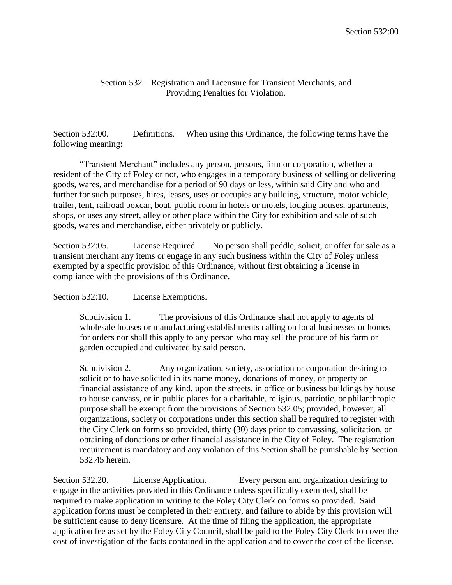## Section 532 – Registration and Licensure for Transient Merchants, and Providing Penalties for Violation.

Section 532:00. Definitions. When using this Ordinance, the following terms have the following meaning:

"Transient Merchant" includes any person, persons, firm or corporation, whether a resident of the City of Foley or not, who engages in a temporary business of selling or delivering goods, wares, and merchandise for a period of 90 days or less, within said City and who and further for such purposes, hires, leases, uses or occupies any building, structure, motor vehicle, trailer, tent, railroad boxcar, boat, public room in hotels or motels, lodging houses, apartments, shops, or uses any street, alley or other place within the City for exhibition and sale of such goods, wares and merchandise, either privately or publicly.

Section 532:05. License Required. No person shall peddle, solicit, or offer for sale as a transient merchant any items or engage in any such business within the City of Foley unless exempted by a specific provision of this Ordinance, without first obtaining a license in compliance with the provisions of this Ordinance.

## Section 532:10. License Exemptions.

Subdivision 1. The provisions of this Ordinance shall not apply to agents of wholesale houses or manufacturing establishments calling on local businesses or homes for orders nor shall this apply to any person who may sell the produce of his farm or garden occupied and cultivated by said person.

Subdivision 2. Any organization, society, association or corporation desiring to solicit or to have solicited in its name money, donations of money, or property or financial assistance of any kind, upon the streets, in office or business buildings by house to house canvass, or in public places for a charitable, religious, patriotic, or philanthropic purpose shall be exempt from the provisions of Section 532.05; provided, however, all organizations, society or corporations under this section shall be required to register with the City Clerk on forms so provided, thirty (30) days prior to canvassing, solicitation, or obtaining of donations or other financial assistance in the City of Foley. The registration requirement is mandatory and any violation of this Section shall be punishable by Section 532.45 herein.

Section 532.20. License Application. Every person and organization desiring to engage in the activities provided in this Ordinance unless specifically exempted, shall be required to make application in writing to the Foley City Clerk on forms so provided. Said application forms must be completed in their entirety, and failure to abide by this provision will be sufficient cause to deny licensure. At the time of filing the application, the appropriate application fee as set by the Foley City Council, shall be paid to the Foley City Clerk to cover the cost of investigation of the facts contained in the application and to cover the cost of the license.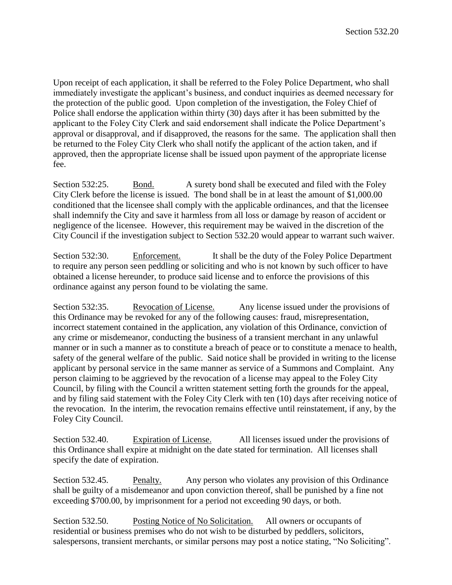Upon receipt of each application, it shall be referred to the Foley Police Department, who shall immediately investigate the applicant's business, and conduct inquiries as deemed necessary for the protection of the public good. Upon completion of the investigation, the Foley Chief of Police shall endorse the application within thirty (30) days after it has been submitted by the applicant to the Foley City Clerk and said endorsement shall indicate the Police Department's approval or disapproval, and if disapproved, the reasons for the same. The application shall then be returned to the Foley City Clerk who shall notify the applicant of the action taken, and if approved, then the appropriate license shall be issued upon payment of the appropriate license fee.

Section 532:25. Bond. A surety bond shall be executed and filed with the Foley City Clerk before the license is issued. The bond shall be in at least the amount of \$1,000.00 conditioned that the licensee shall comply with the applicable ordinances, and that the licensee shall indemnify the City and save it harmless from all loss or damage by reason of accident or negligence of the licensee. However, this requirement may be waived in the discretion of the City Council if the investigation subject to Section 532.20 would appear to warrant such waiver.

Section 532:30. Enforcement. It shall be the duty of the Foley Police Department to require any person seen peddling or soliciting and who is not known by such officer to have obtained a license hereunder, to produce said license and to enforce the provisions of this ordinance against any person found to be violating the same.

Section 532:35. Revocation of License. Any license issued under the provisions of this Ordinance may be revoked for any of the following causes: fraud, misrepresentation, incorrect statement contained in the application, any violation of this Ordinance, conviction of any crime or misdemeanor, conducting the business of a transient merchant in any unlawful manner or in such a manner as to constitute a breach of peace or to constitute a menace to health, safety of the general welfare of the public. Said notice shall be provided in writing to the license applicant by personal service in the same manner as service of a Summons and Complaint. Any person claiming to be aggrieved by the revocation of a license may appeal to the Foley City Council, by filing with the Council a written statement setting forth the grounds for the appeal, and by filing said statement with the Foley City Clerk with ten (10) days after receiving notice of the revocation. In the interim, the revocation remains effective until reinstatement, if any, by the Foley City Council.

Section 532.40. Expiration of License. All licenses issued under the provisions of this Ordinance shall expire at midnight on the date stated for termination. All licenses shall specify the date of expiration.

Section 532.45. Penalty. Any person who violates any provision of this Ordinance shall be guilty of a misdemeanor and upon conviction thereof, shall be punished by a fine not exceeding \$700.00, by imprisonment for a period not exceeding 90 days, or both.

Section 532.50. Posting Notice of No Solicitation. All owners or occupants of residential or business premises who do not wish to be disturbed by peddlers, solicitors, salespersons, transient merchants, or similar persons may post a notice stating, "No Soliciting".